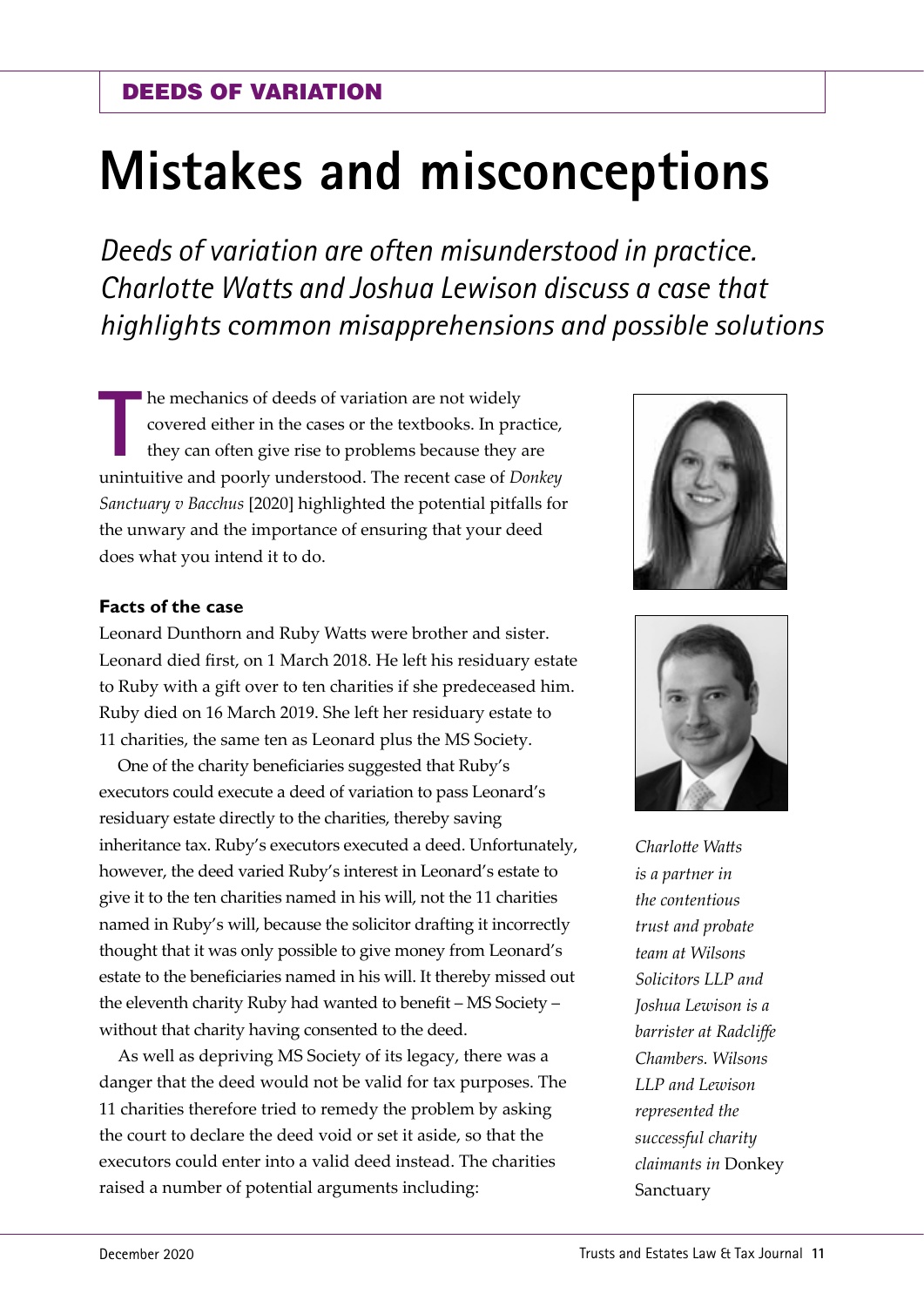# **Mistakes and misconceptions**

*Deeds of variation are often misunderstood in practice. Charlotte Watts and Joshua Lewison discuss a case that highlights common misapprehensions and possible solutions* 

**T** he mechanics of deeds of variation are not widely covered either in the cases or the textbooks. In practice, they can often give rise to problems because they are unintuitive and poorly understood. The recent case of *Donkey Sanctuary v Bacchus* [2020] highlighted the potential pitfalls for the unwary and the importance of ensuring that your deed does what you intend it to do.

## **Facts of the case**

Leonard Dunthorn and Ruby Watts were brother and sister. Leonard died first, on 1 March 2018. He left his residuary estate to Ruby with a gift over to ten charities if she predeceased him. Ruby died on 16 March 2019. She left her residuary estate to 11 charities, the same ten as Leonard plus the MS Society.

One of the charity beneficiaries suggested that Ruby's executors could execute a deed of variation to pass Leonard's residuary estate directly to the charities, thereby saving inheritance tax. Ruby's executors executed a deed. Unfortunately, however, the deed varied Ruby's interest in Leonard's estate to give it to the ten charities named in his will, not the 11 charities named in Ruby's will, because the solicitor drafting it incorrectly thought that it was only possible to give money from Leonard's estate to the beneficiaries named in his will. It thereby missed out the eleventh charity Ruby had wanted to benefit – MS Society – without that charity having consented to the deed.

As well as depriving MS Society of its legacy, there was a danger that the deed would not be valid for tax purposes. The 11 charities therefore tried to remedy the problem by asking the court to declare the deed void or set it aside, so that the executors could enter into a valid deed instead. The charities raised a number of potential arguments including:





*Charlotte Watts is a partner in the contentious trust and probate team at Wilsons Solicitors LLP and Joshua Lewison is a barrister at Radcliffe Chambers. Wilsons LLP and Lewison represented the successful charity claimants in* Donkey Sanctuary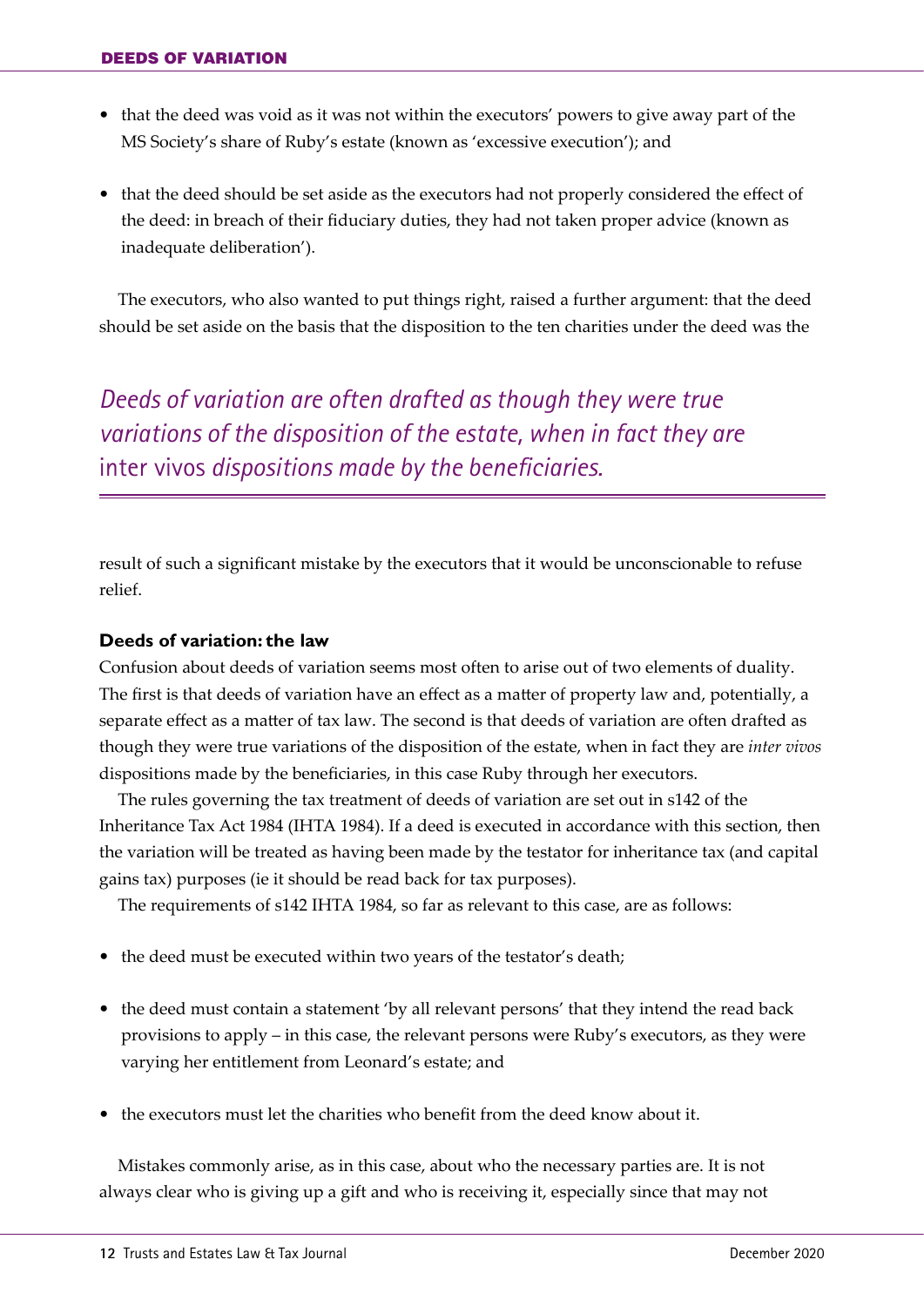- **•** that the deed was void as it was not within the executors' powers to give away part of the MS Society's share of Ruby's estate (known as 'excessive execution'); and
- **•** that the deed should be set aside as the executors had not properly considered the effect of the deed: in breach of their fiduciary duties, they had not taken proper advice (known as inadequate deliberation').

The executors, who also wanted to put things right, raised a further argument: that the deed should be set aside on the basis that the disposition to the ten charities under the deed was the

*Deeds of variation are often drafted as though they were true variations of the disposition of the estate, when in fact they are* inter vivos *dispositions made by the beneficiaries.*

result of such a significant mistake by the executors that it would be unconscionable to refuse relief.

## **Deeds of variation: the law**

Confusion about deeds of variation seems most often to arise out of two elements of duality. The first is that deeds of variation have an effect as a matter of property law and, potentially, a separate effect as a matter of tax law. The second is that deeds of variation are often drafted as though they were true variations of the disposition of the estate, when in fact they are *inter vivos* dispositions made by the beneficiaries, in this case Ruby through her executors.

The rules governing the tax treatment of deeds of variation are set out in s142 of the Inheritance Tax Act 1984 (IHTA 1984). If a deed is executed in accordance with this section, then the variation will be treated as having been made by the testator for inheritance tax (and capital gains tax) purposes (ie it should be read back for tax purposes).

The requirements of s142 IHTA 1984, so far as relevant to this case, are as follows:

- **•** the deed must be executed within two years of the testator's death;
- **•** the deed must contain a statement 'by all relevant persons' that they intend the read back provisions to apply – in this case, the relevant persons were Ruby's executors, as they were varying her entitlement from Leonard's estate; and
- **•** the executors must let the charities who benefit from the deed know about it.

Mistakes commonly arise, as in this case, about who the necessary parties are. It is not always clear who is giving up a gift and who is receiving it, especially since that may not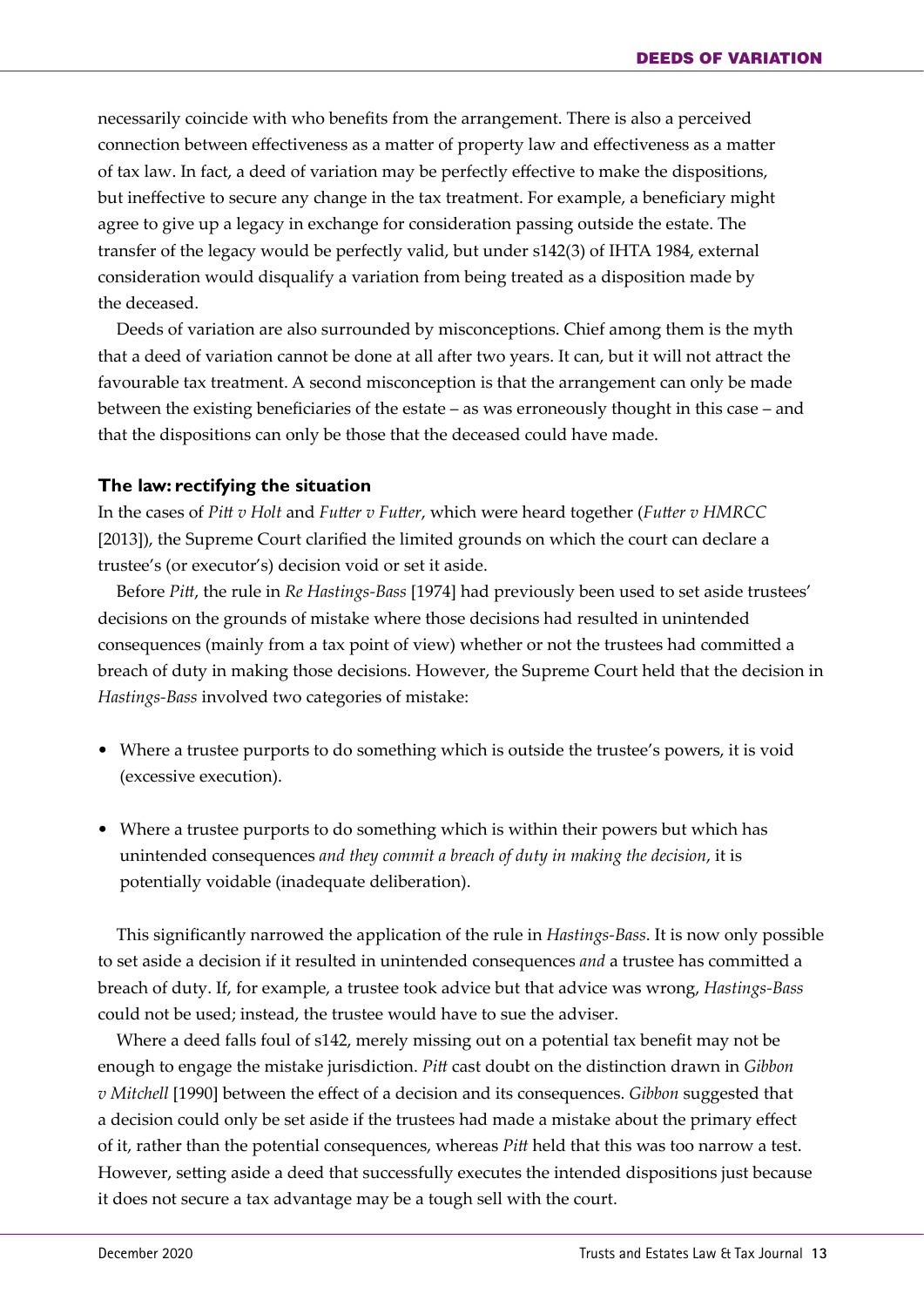necessarily coincide with who benefits from the arrangement. There is also a perceived connection between effectiveness as a matter of property law and effectiveness as a matter of tax law. In fact, a deed of variation may be perfectly effective to make the dispositions, but ineffective to secure any change in the tax treatment. For example, a beneficiary might agree to give up a legacy in exchange for consideration passing outside the estate. The transfer of the legacy would be perfectly valid, but under s142(3) of IHTA 1984, external consideration would disqualify a variation from being treated as a disposition made by the deceased.

Deeds of variation are also surrounded by misconceptions. Chief among them is the myth that a deed of variation cannot be done at all after two years. It can, but it will not attract the favourable tax treatment. A second misconception is that the arrangement can only be made between the existing beneficiaries of the estate – as was erroneously thought in this case – and that the dispositions can only be those that the deceased could have made.

### **The law: rectifying the situation**

In the cases of *Pitt v Holt* and *Futter v Futter*, which were heard together (*Futter v HMRCC* [2013]), the Supreme Court clarified the limited grounds on which the court can declare a trustee's (or executor's) decision void or set it aside.

Before *Pitt*, the rule in *Re Hastings-Bass* [1974] had previously been used to set aside trustees' decisions on the grounds of mistake where those decisions had resulted in unintended consequences (mainly from a tax point of view) whether or not the trustees had committed a breach of duty in making those decisions. However, the Supreme Court held that the decision in *Hastings-Bass* involved two categories of mistake:

- Where a trustee purports to do something which is outside the trustee's powers, it is void (excessive execution).
- **•** Where a trustee purports to do something which is within their powers but which has unintended consequences *and they commit a breach of duty in making the decision*, it is potentially voidable (inadequate deliberation).

This significantly narrowed the application of the rule in *Hastings-Bass*. It is now only possible to set aside a decision if it resulted in unintended consequences *and* a trustee has committed a breach of duty. If, for example, a trustee took advice but that advice was wrong, *Hastings-Bass*  could not be used; instead, the trustee would have to sue the adviser.

Where a deed falls foul of s142, merely missing out on a potential tax benefit may not be enough to engage the mistake jurisdiction. *Pitt* cast doubt on the distinction drawn in *Gibbon v Mitchell* [1990] between the effect of a decision and its consequences. *Gibbon* suggested that a decision could only be set aside if the trustees had made a mistake about the primary effect of it, rather than the potential consequences, whereas *Pitt* held that this was too narrow a test. However, setting aside a deed that successfully executes the intended dispositions just because it does not secure a tax advantage may be a tough sell with the court.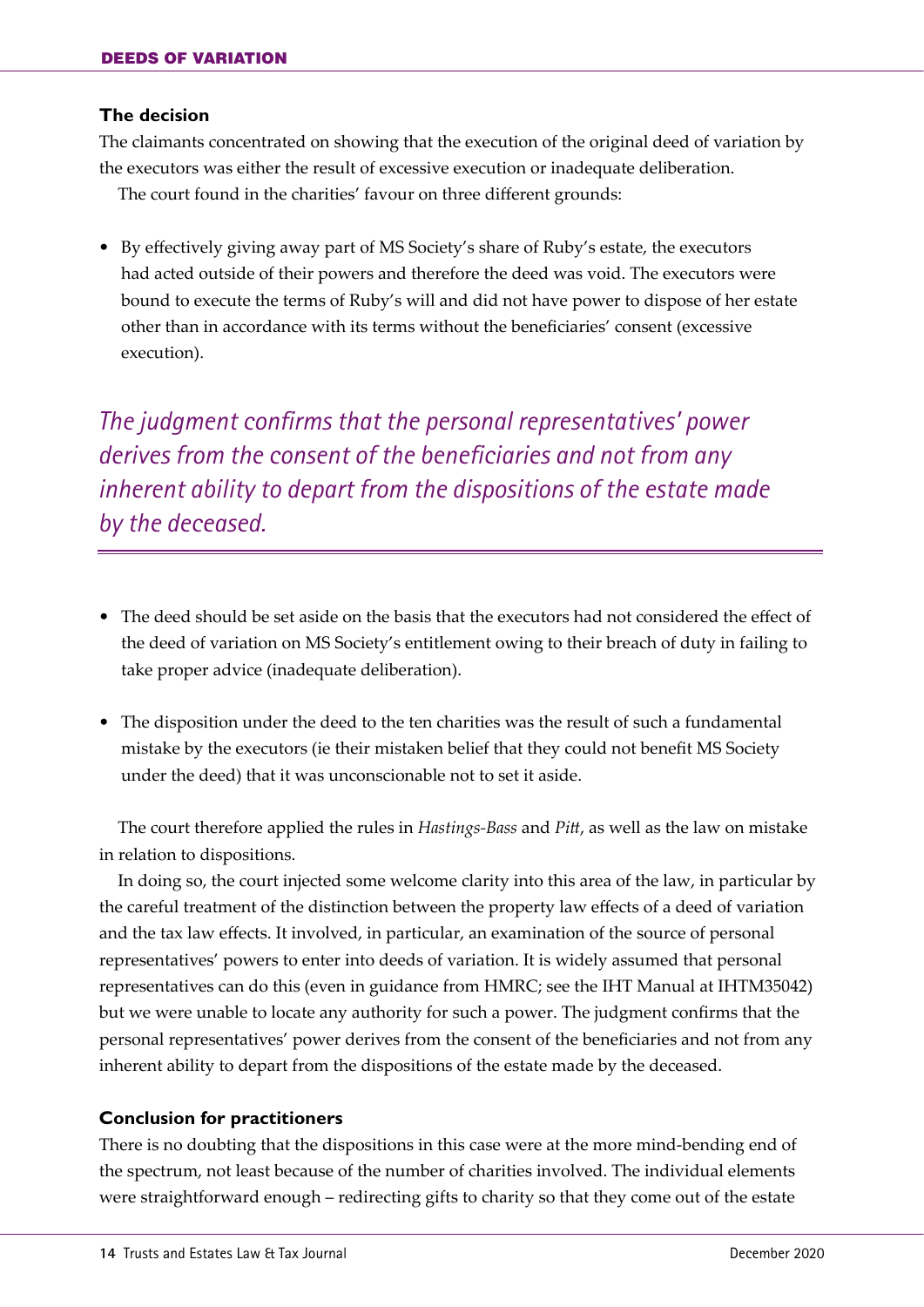#### **The decision**

The claimants concentrated on showing that the execution of the original deed of variation by the executors was either the result of excessive execution or inadequate deliberation.

The court found in the charities' favour on three different grounds:

**•** By effectively giving away part of MS Society's share of Ruby's estate, the executors had acted outside of their powers and therefore the deed was void. The executors were bound to execute the terms of Ruby's will and did not have power to dispose of her estate other than in accordance with its terms without the beneficiaries' consent (excessive execution).

*The judgment confirms that the personal representatives' power derives from the consent of the beneficiaries and not from any inherent ability to depart from the dispositions of the estate made by the deceased.*

- **•** The deed should be set aside on the basis that the executors had not considered the effect of the deed of variation on MS Society's entitlement owing to their breach of duty in failing to take proper advice (inadequate deliberation).
- **•** The disposition under the deed to the ten charities was the result of such a fundamental mistake by the executors (ie their mistaken belief that they could not benefit MS Society under the deed) that it was unconscionable not to set it aside.

The court therefore applied the rules in *Hastings-Bass* and *Pitt*, as well as the law on mistake in relation to dispositions.

In doing so, the court injected some welcome clarity into this area of the law, in particular by the careful treatment of the distinction between the property law effects of a deed of variation and the tax law effects. It involved, in particular, an examination of the source of personal representatives' powers to enter into deeds of variation. It is widely assumed that personal representatives can do this (even in guidance from HMRC; see the IHT Manual at IHTM35042) but we were unable to locate any authority for such a power. The judgment confirms that the personal representatives' power derives from the consent of the beneficiaries and not from any inherent ability to depart from the dispositions of the estate made by the deceased.

## **Conclusion for practitioners**

There is no doubting that the dispositions in this case were at the more mind-bending end of the spectrum, not least because of the number of charities involved. The individual elements were straightforward enough – redirecting gifts to charity so that they come out of the estate